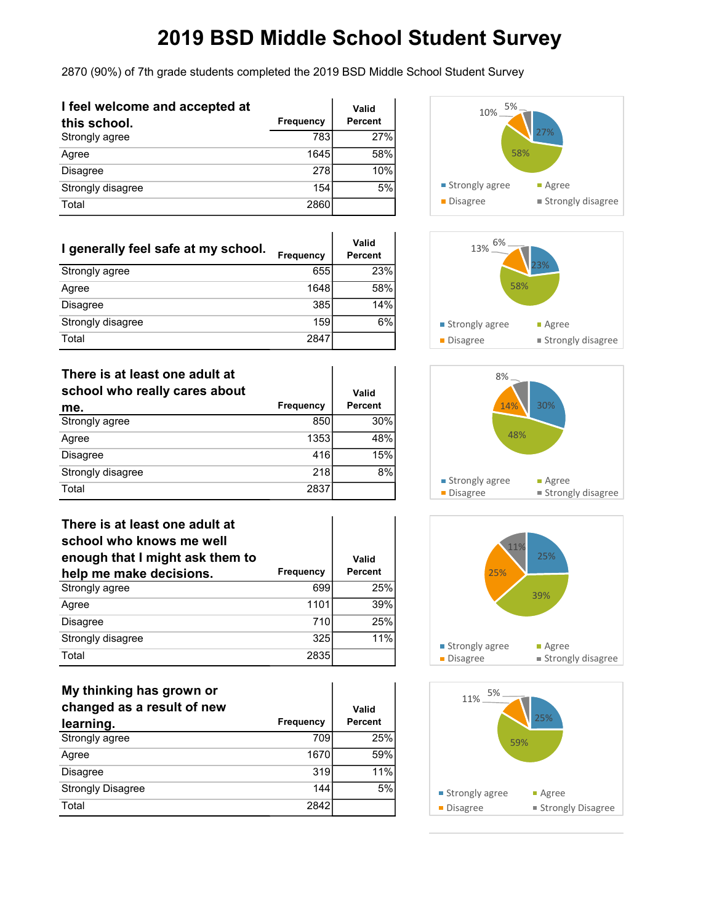2870 (90%) of 7th grade students completed the 2019 BSD Middle School Student Survey

| I feel welcome and accepted at |                  | Valid          |
|--------------------------------|------------------|----------------|
| this school.                   | <b>Frequency</b> | <b>Percent</b> |
| Strongly agree                 | 783              | 27%            |
| Agree                          | 1645             | 58%            |
| Disagree                       | 278              | 10%            |
| Strongly disagree              | 154              | 5%             |
| Total                          | 2860             |                |

| I generally feel safe at my school. | <b>Frequency</b> | Valid<br>Percent |
|-------------------------------------|------------------|------------------|
| Strongly agree                      | 655              | 23%              |
| Agree                               | 1648             | 58%              |
| Disagree                            | 385              | 14%              |
| Strongly disagree                   | 159              | 6%               |
| Total                               | 2847             |                  |

#### **There is at least one adult at**

| school who really cares about |                  | Valid   |
|-------------------------------|------------------|---------|
| me.                           | <b>Frequency</b> | Percent |
| Strongly agree                | 850              | 30%     |
| Agree                         | 1353             | 48%     |
| Disagree                      | 416              | 15%     |
| Strongly disagree             | 218              | 8%      |
| Total                         | 2837             |         |

| There is at least one adult at<br>school who knows me well<br>enough that I might ask them to |                  | Valid          |
|-----------------------------------------------------------------------------------------------|------------------|----------------|
| help me make decisions.                                                                       | <b>Frequency</b> | <b>Percent</b> |
| Strongly agree                                                                                | 699              | 25%            |
| Agree                                                                                         | 1101             | 39%            |
| <b>Disagree</b>                                                                               | 710              | 25%            |
| Strongly disagree                                                                             | 325              | 11%            |
| Total                                                                                         | 2835             |                |

| My thinking has grown or<br>changed as a result of new |           | Valid   |
|--------------------------------------------------------|-----------|---------|
| learning.                                              | Frequency | Percent |
| Strongly agree                                         | 709       | 25%     |
| Agree                                                  | 1670      | 59%     |
| <b>Disagree</b>                                        | 319       | 11%     |
| <b>Strongly Disagree</b>                               | 144       | 5%      |
| Total                                                  | 2842      |         |









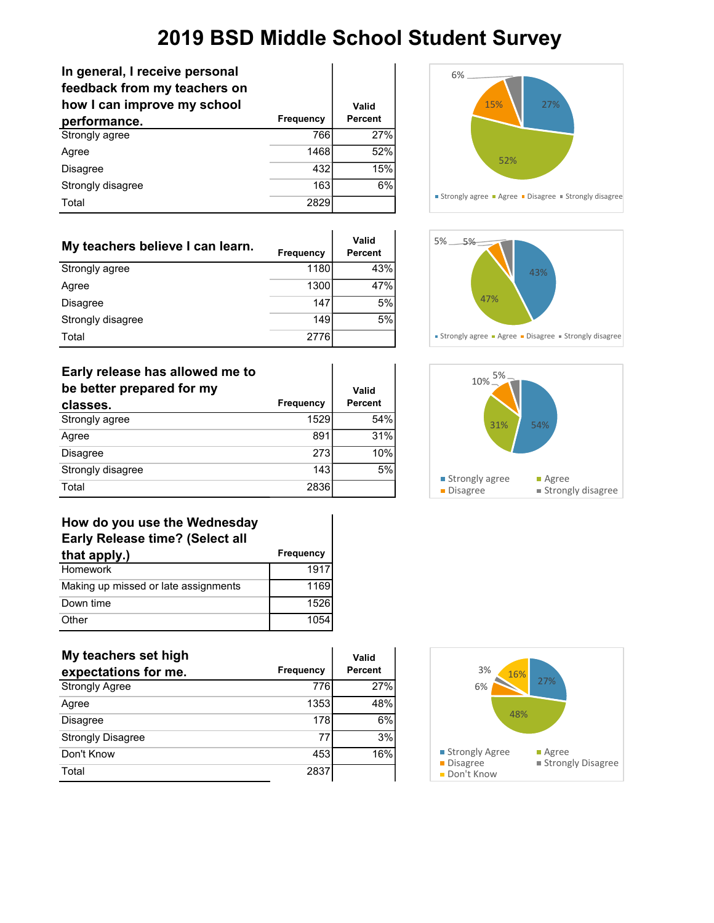÷.

| In general, I receive personal<br>feedback from my teachers on<br>how I can improve my school |                  | Valid          |
|-----------------------------------------------------------------------------------------------|------------------|----------------|
| performance.                                                                                  | <b>Frequency</b> | <b>Percent</b> |
| Strongly agree                                                                                | 766              | 27%            |
| Agree                                                                                         | 1468             | 52%            |
| Disagree                                                                                      | 432              | 15%            |
| Strongly disagree                                                                             | 163              | 6%             |
| Total                                                                                         | 2829             |                |

| My teachers believe I can learn. | <b>Frequency</b> | Valid<br>Percent |
|----------------------------------|------------------|------------------|
| Strongly agree                   | 1180             | 43%              |
| Agree                            | 1300             | 47%              |
| Disagree                         | 147              | 5%               |
| Strongly disagree                | 149              | 5%               |
| Total                            | 2776             |                  |

| Early release has allowed me to<br>be better prepared for my |                  | Valid          |
|--------------------------------------------------------------|------------------|----------------|
| classes.                                                     | <b>Frequency</b> | <b>Percent</b> |
| Strongly agree                                               | 1529             | 54%            |
| Agree                                                        | 891              | 31%            |
| Disagree                                                     | 273              | 10%            |
| Strongly disagree                                            | 143              | 5%             |
| Total                                                        | 2836             |                |

| How do you use the Wednesday           |           |
|----------------------------------------|-----------|
| <b>Early Release time? (Select all</b> |           |
| that apply.)                           | Frequency |
| Homework                               | 1917      |
| Making up missed or late assignments   | 1169      |
| Down time                              | 1526      |
| Other                                  | 1054      |

| My teachers set high     |           | Valid   |
|--------------------------|-----------|---------|
| expectations for me.     | Frequency | Percent |
| <b>Strongly Agree</b>    | 776       | 27%     |
| Agree                    | 1353      | 48%     |
| <b>Disagree</b>          | 178       | 6%      |
| <b>Strongly Disagree</b> | 77        | 3%      |
| Don't Know               | 453       | 16%     |
| Total                    | 2837      |         |







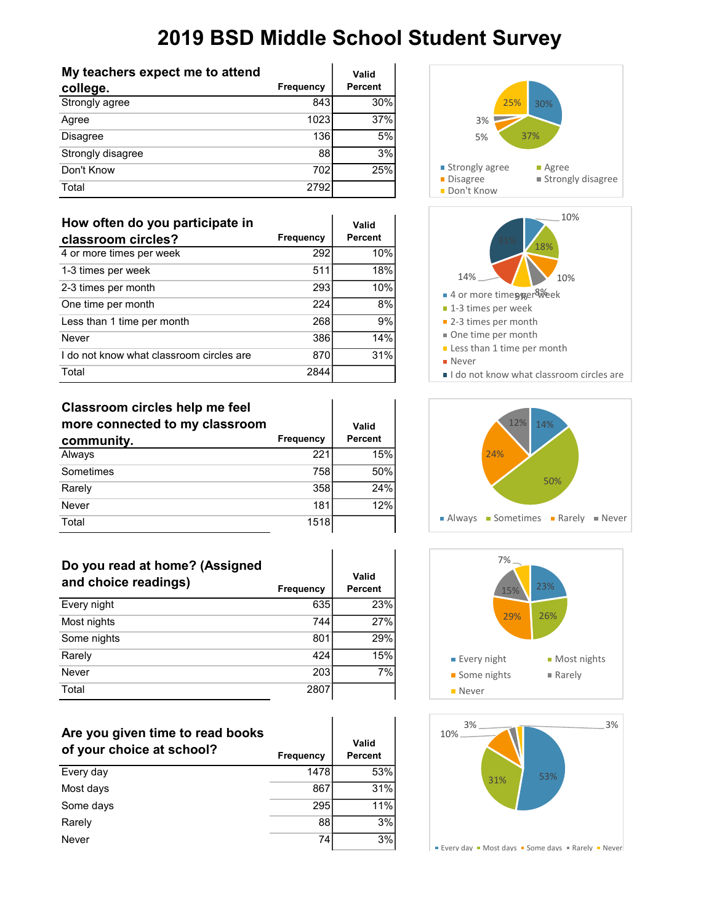| My teachers expect me to attend |                  | Valid   |
|---------------------------------|------------------|---------|
| college.                        | <b>Frequency</b> | Percent |
| Strongly agree                  | 843              | 30%     |
| Agree                           | 1023             | 37%     |
| <b>Disagree</b>                 | 136              | 5%      |
| Strongly disagree               | 88               | 3%      |
| Don't Know                      | 702              | 25%     |
| Total                           | 2792             |         |

| How often do you participate in          |                  | Valid          |
|------------------------------------------|------------------|----------------|
| classroom circles?                       | <b>Frequency</b> | <b>Percent</b> |
| 4 or more times per week                 | 292              | 10%            |
| 1-3 times per week                       | 511              | 18%            |
| 2-3 times per month                      | 293              | 10%            |
| One time per month                       | 224              | 8%             |
| Less than 1 time per month               | 268              | 9%             |
| Never                                    | 386              | 14%            |
| I do not know what classroom circles are | 870              | 31%            |
| Total                                    | 2844             |                |

#### **Classroom circles help me feel**

| more connected to my classroom |           | Valid          |
|--------------------------------|-----------|----------------|
| community.                     | Frequency | <b>Percent</b> |
| Always                         | 221       | 15%            |
| Sometimes                      | 758       | 50%            |
| Rarely                         | 358       | 24%            |
| Never                          | 181       | 12%            |
| Total                          | 1518      |                |

| Do you read at home? (Assigned<br>and choice readings) | Frequency | Valid<br><b>Percent</b> |
|--------------------------------------------------------|-----------|-------------------------|
| Every night                                            | 635       | 23%                     |
| Most nights                                            | 744       | 27%                     |
| Some nights                                            | 801       | 29%                     |
| Rarely                                                 | 424       | 15%                     |
| Never                                                  | 203       | 7%                      |
| Total                                                  | 2807      |                         |

 $\mathbf{I}$ 

r

| Are you given time to read books<br>of your choice at school? | Frequency | Valid<br>Percent |
|---------------------------------------------------------------|-----------|------------------|
| Every day                                                     | 1478      | 53%              |
| Most days                                                     | 867       | 31%              |
| Some days                                                     | 295       | 11%              |
| Rarely                                                        | 88        | 3%               |
| Never                                                         | 74        | 3%               |
|                                                               |           |                  |









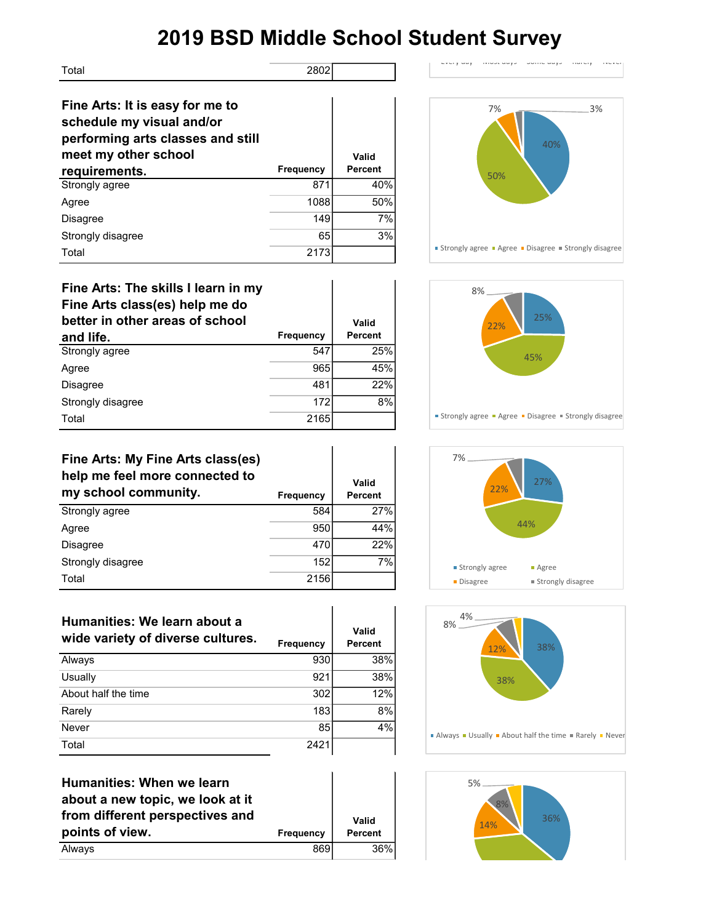| Total                                                                                                                     | 2802             |         |
|---------------------------------------------------------------------------------------------------------------------------|------------------|---------|
| Fine Arts: It is easy for me to<br>schedule my visual and/or<br>performing arts classes and still<br>meet my other school |                  | Valid   |
|                                                                                                                           |                  |         |
| requirements.                                                                                                             | <b>Frequency</b> | Percent |
| Strongly agree                                                                                                            | 871              | 40%     |
| Agree                                                                                                                     | 1088             | 50%     |
| <b>Disagree</b>                                                                                                           | 149              | 7%      |
| Strongly disagree                                                                                                         | 65               | 3%      |

| Fine Arts: The skills I learn in my<br>Fine Arts class(es) help me do<br>better in other areas of school |           | Valid          |
|----------------------------------------------------------------------------------------------------------|-----------|----------------|
| and life.                                                                                                | Frequency | <b>Percent</b> |
| Strongly agree                                                                                           | 547       | 25%            |
| Agree                                                                                                    | 965       | 45%            |
| <b>Disagree</b>                                                                                          | 481       | 22%            |
| Strongly disagree                                                                                        | 172       | 8%             |
| Total                                                                                                    | 2165      |                |

| Fine Arts: My Fine Arts class(es)<br>help me feel more connected to<br>my school community. | Frequency | Valid<br><b>Percent</b> |
|---------------------------------------------------------------------------------------------|-----------|-------------------------|
| Strongly agree                                                                              | 584       | 27%                     |
| Agree                                                                                       | 950       | 44%                     |
| <b>Disagree</b>                                                                             | 470       | 22%                     |
| Strongly disagree                                                                           | 152       | 7%                      |
| Total                                                                                       | 2156      |                         |

| Humanities: We learn about a<br>wide variety of diverse cultures. | <b>Frequency</b> | Valid<br><b>Percent</b> |
|-------------------------------------------------------------------|------------------|-------------------------|
| Always                                                            | 930              | 38%                     |
| Usually                                                           | 921              | 38%                     |
| About half the time                                               | 302              | 12%                     |
| Rarely                                                            | 183              | 8%                      |
| Never                                                             | 85               | 4%                      |
| Total                                                             | 2421             |                         |

Ŷ.

| <b>Humanities: When we learn</b> |                  |         |
|----------------------------------|------------------|---------|
| about a new topic, we look at it |                  |         |
| from different perspectives and  |                  | Valid   |
| points of view.                  | <b>Frequency</b> | Percent |
| Always                           | 869              | 36%     |



 $\text{Error}$  and  $\text{Function}$  and days  $\text{Function}$  some days  $\text{Function}$   $\text{Function}$ 







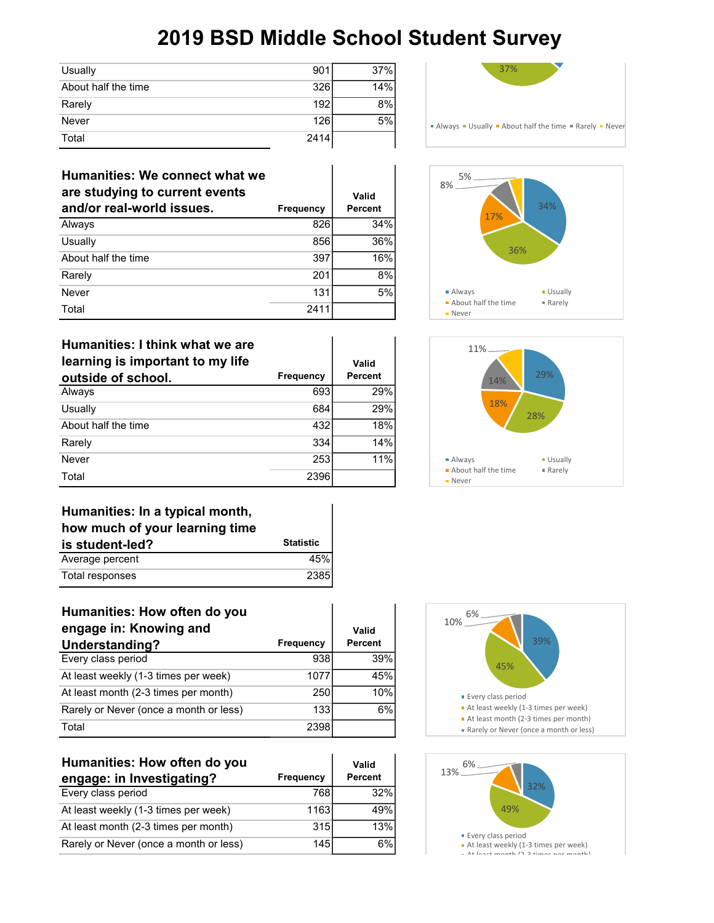| Usually             | 901  | 37% |
|---------------------|------|-----|
| About half the time | 326  | 14% |
| Rarely              | 192  | 8%  |
| Never               | 126  | 5%  |
| Total               | 2414 |     |

| Humanities: We connect what we<br>are studying to current events<br>and/or real-world issues. | <b>Frequency</b> | Valid<br><b>Percent</b> |
|-----------------------------------------------------------------------------------------------|------------------|-------------------------|
| Always                                                                                        | 826              | 34%                     |
| Usually                                                                                       | 856              | 36%                     |
| About half the time                                                                           | 397              | 16%                     |
| Rarely                                                                                        | 201              | 8%                      |
| Never                                                                                         | 131              | 5%                      |
| Total                                                                                         | 2411             |                         |

| Humanities: I think what we are<br>learning is important to my life<br>outside of school. | <b>Frequency</b> | Valid<br>Percent |
|-------------------------------------------------------------------------------------------|------------------|------------------|
| Always                                                                                    | 693              | 29%              |
| Usually                                                                                   | 684              | 29%              |
| About half the time                                                                       | 432              | 18%              |
| Rarely                                                                                    | 334              | 14%              |
| Never                                                                                     | 253              | 11%              |
| Total                                                                                     | 2396             |                  |



| how much of your learning time |                  |
|--------------------------------|------------------|
| is student-led?                | <b>Statistic</b> |
| Average percent                | 45%              |
| Total responses                | 2385             |

| Humanities: How often do you           |                  |                |
|----------------------------------------|------------------|----------------|
| engage in: Knowing and                 |                  | Valid          |
| Understanding?                         | Frequency        | <b>Percent</b> |
| Every class period                     | 938              | 39%            |
| At least weekly (1-3 times per week)   | 1077             | 45%            |
| At least month (2-3 times per month)   | 250              | 10%            |
| Rarely or Never (once a month or less) | 133 <sup>1</sup> | 6%             |
| Total                                  | 2398             |                |

| Humanities: How often do you           |                  | Valid   |
|----------------------------------------|------------------|---------|
| engage: in Investigating?              | <b>Frequency</b> | Percent |
| Every class period                     | 768              | 32%     |
| At least weekly (1-3 times per week)   | 1163             | 49%     |
| At least month (2-3 times per month)   | 315              | 13%     |
| Rarely or Never (once a month or less) | 145              | 6%      |









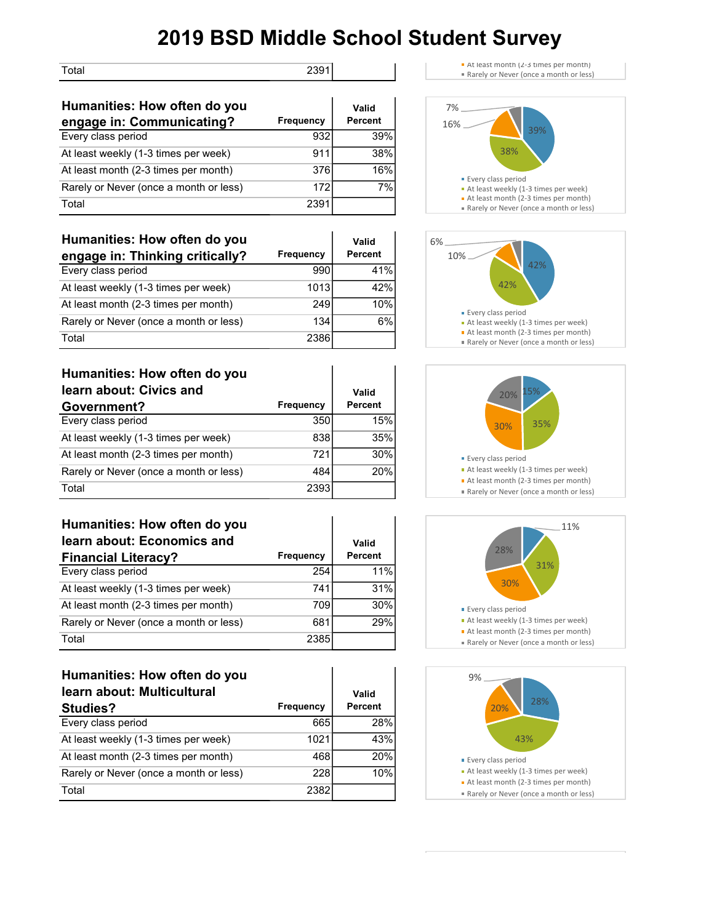Total 2391

| Humanities: How often do you           |           | Valid   |
|----------------------------------------|-----------|---------|
| engage in: Communicating?              | Frequency | Percent |
| Every class period                     | 932       | 39%     |
| At least weekly (1-3 times per week)   | 911       | 38%     |
| At least month (2-3 times per month)   | 376       | 16%     |
| Rarely or Never (once a month or less) | 172       | 7%      |
| Total                                  | 2391      |         |

| Humanities: How often do you           |                  | Valid          |
|----------------------------------------|------------------|----------------|
| engage in: Thinking critically?        | <b>Frequency</b> | <b>Percent</b> |
| Every class period                     | 990              | 41%            |
| At least weekly (1-3 times per week)   | 1013             | 42%            |
| At least month (2-3 times per month)   | 249              | 10%            |
| Rarely or Never (once a month or less) | 134              | 6%             |
| Total                                  | 2386             |                |

| Humanities: How often do you           |                  |                |
|----------------------------------------|------------------|----------------|
| learn about: Civics and                |                  | Valid          |
| Government?                            | <b>Frequency</b> | <b>Percent</b> |
| Every class period                     | 350              | 15%            |
| At least weekly (1-3 times per week)   | 838              | 35%            |
| At least month (2-3 times per month)   | 721              | 30%            |
| Rarely or Never (once a month or less) | 484              | 20%            |
| Total                                  | 2393             |                |

| Humanities: How often do you           |                  |                |
|----------------------------------------|------------------|----------------|
| learn about: Economics and             |                  | Valid          |
| <b>Financial Literacy?</b>             | <b>Frequency</b> | <b>Percent</b> |
| Every class period                     | 254              | 11%            |
| At least weekly (1-3 times per week)   | 741              | 31%            |
| At least month (2-3 times per month)   | 709              | 30%            |
| Rarely or Never (once a month or less) | 681              | 29%            |
| Total                                  | 2385             |                |

| Humanities: How often do you<br>learn about: Multicultural<br><b>Studies?</b> | <b>Frequency</b> | Valid<br><b>Percent</b> |
|-------------------------------------------------------------------------------|------------------|-------------------------|
| Every class period                                                            | 665              | 28%                     |
| At least weekly (1-3 times per week)                                          | 1021             | 43%                     |
| At least month (2-3 times per month)                                          | 468              | 20%                     |
| Rarely or Never (once a month or less)                                        | 228              | 10%                     |
| Total                                                                         | 2382             |                         |











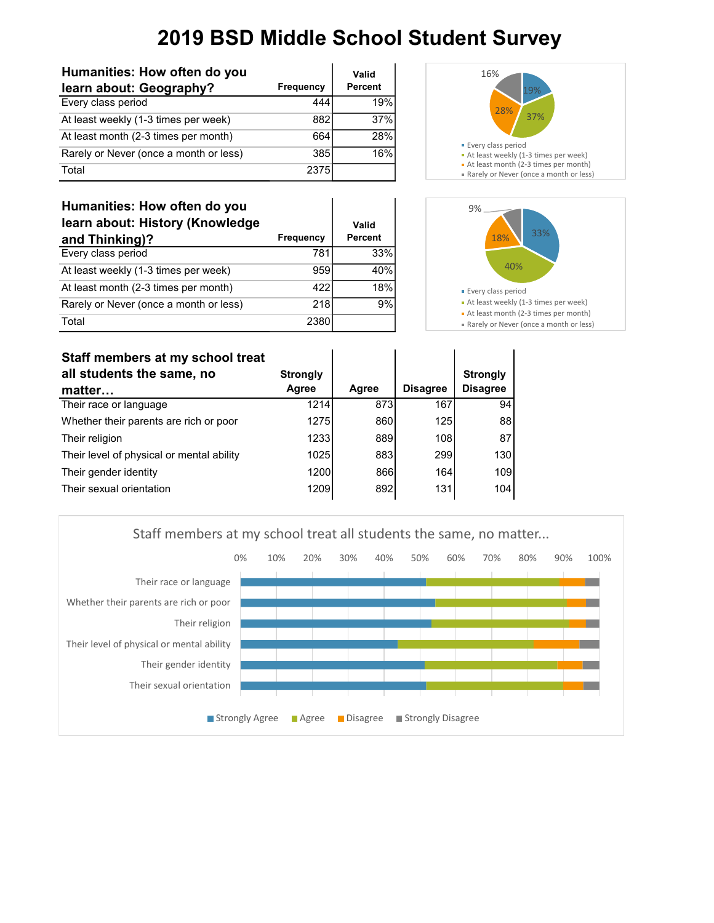| Humanities: How often do you           |                  | Valid          |
|----------------------------------------|------------------|----------------|
| learn about: Geography?                | <b>Frequency</b> | <b>Percent</b> |
| Every class period                     | 444              | 19%            |
| At least weekly (1-3 times per week)   | 882              | 37%            |
| At least month (2-3 times per month)   | 664              | 28%            |
| Rarely or Never (once a month or less) | 385              | 16%            |
| Total                                  | 2375             |                |



Rarely or Never (once a month or less)





Rarely or Never (once a month or less)

| Staff members at my school treat          |                          |       |                 |                                    |
|-------------------------------------------|--------------------------|-------|-----------------|------------------------------------|
| all students the same, no<br>matter       | <b>Strongly</b><br>Agree | Agree | <b>Disagree</b> | <b>Strongly</b><br><b>Disagree</b> |
| Their race or language                    | 1214                     | 873   | 167             | 94                                 |
| Whether their parents are rich or poor    | 1275                     | 860   | 125             | 88                                 |
| Their religion                            | 1233                     | 889   | 108             | 87                                 |
| Their level of physical or mental ability | 1025                     | 883   | 299             | 130                                |
| Their gender identity                     | 1200                     | 866   | 164             | 109                                |
| Their sexual orientation                  | 1209                     | 892   | 131             | 104                                |

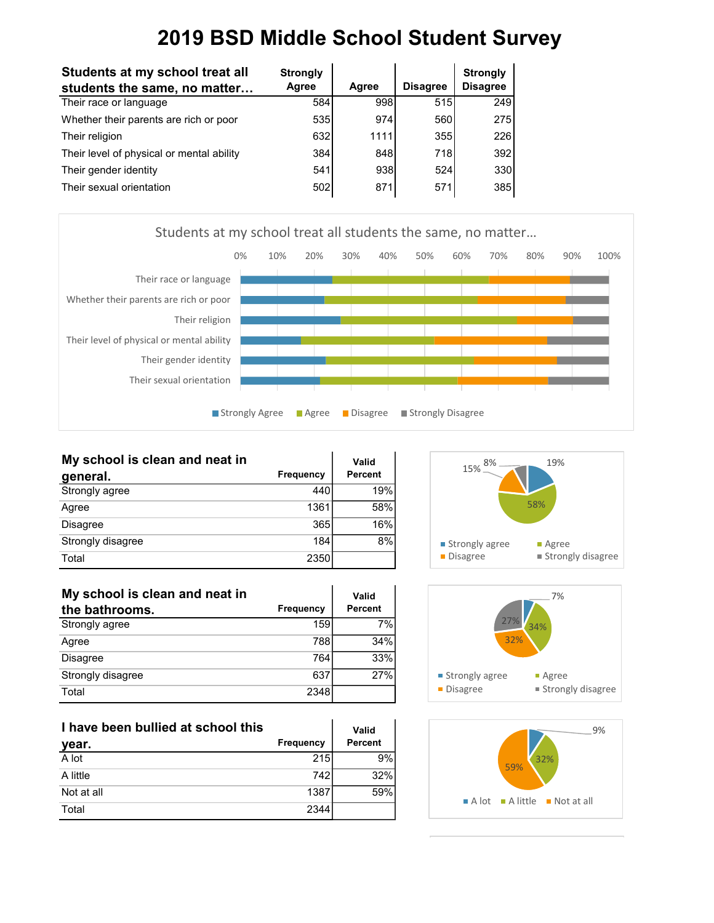| Students at my school treat all           | <b>Strongly</b> |       |                 | <b>Strongly</b> |
|-------------------------------------------|-----------------|-------|-----------------|-----------------|
| students the same, no matter              | Agree           | Agree | <b>Disagree</b> | <b>Disagree</b> |
| Their race or language                    | 584             | 998   | 515             | 249             |
| Whether their parents are rich or poor    | 535             | 974   | 560             | 275             |
| Their religion                            | 632             | 1111  | 355             | 226             |
| Their level of physical or mental ability | 384             | 848   | 718             | 392             |
| Their gender identity                     | 541             | 938   | 524             | 330             |
| Their sexual orientation                  | 502             | 871   | 571             | 385             |



| My school is clean and neat in |           | Valid          |
|--------------------------------|-----------|----------------|
| general.                       | Frequency | <b>Percent</b> |
| Strongly agree                 | 440       | 19%            |
| Agree                          | 1361      | 58%            |
| Disagree                       | 365       | 16%            |
| Strongly disagree              | 184       | 8%             |
| Total                          | 2350      |                |

| My school is clean and neat in |           | Valid          |
|--------------------------------|-----------|----------------|
| the bathrooms.                 | Frequency | <b>Percent</b> |
| Strongly agree                 | 159       | 7%             |
| Agree                          | 788       | 34%            |
| Disagree                       | 764       | 33%            |
| Strongly disagree              | 637       | 27%            |
| Total                          | 2348      |                |

| I have been bullied at school this |                  | Valid          |
|------------------------------------|------------------|----------------|
| year.                              | <b>Frequency</b> | <b>Percent</b> |
| A lot                              | 215              | 9%             |
| A little                           | 742              | 32%            |
| Not at all                         | 1387             | 59%            |
| Total                              | 2344             |                |





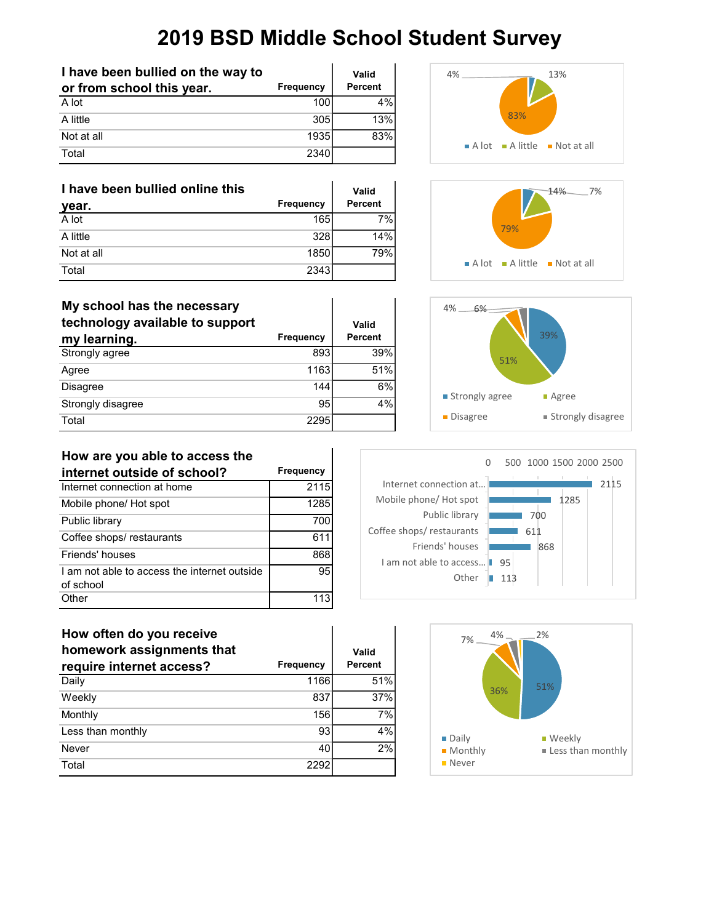| I have been bullied on the way to |                  | Valid          |
|-----------------------------------|------------------|----------------|
| or from school this year.         | <b>Frequency</b> | <b>Percent</b> |
| A lot                             | 100 <sup>1</sup> | 4%             |
| A little                          | 305              | 13%            |
| Not at all                        | 1935l            | 83%            |
| Total                             | 2340             |                |

| I have been bullied online this |                  | Valid          |
|---------------------------------|------------------|----------------|
| year.                           | <b>Frequency</b> | <b>Percent</b> |
| A lot                           | 165              | 7%             |
| A little                        | 328              | 14%            |
| Not at all                      | 1850l            | 79%            |
| Total                           | 23431            |                |

| My school has the necessary<br>technology available to support<br>my learning. | Frequency | Valid<br><b>Percent</b> |
|--------------------------------------------------------------------------------|-----------|-------------------------|
| Strongly agree                                                                 | 893       | 39%                     |
| Agree                                                                          | 1163      | 51%                     |
| <b>Disagree</b>                                                                | 144       | 6%                      |
| Strongly disagree                                                              | 95        | 4%                      |
| Total                                                                          | 2295      |                         |











#### **How are you able to access the**

| internet outside of school?                               | Frequency |
|-----------------------------------------------------------|-----------|
| Internet connection at home                               | 2115      |
| Mobile phone/ Hot spot                                    | 1285      |
| Public library                                            | 700       |
| Coffee shops/restaurants                                  | 611       |
| Friends' houses                                           | 868       |
| I am not able to access the internet outside<br>of school | 95        |
| Other                                                     |           |

#### **How often do you receive**

| homework assignments that |           | Valid          |
|---------------------------|-----------|----------------|
| require internet access?  | Frequency | <b>Percent</b> |
| Daily                     | 1166      | 51%            |
| Weekly                    | 837       | 37%            |
| Monthly                   | 156       | 7%             |
| Less than monthly         | 93        | 4%             |
| Never                     | 40        | 2%             |
| Total                     | 2292      |                |